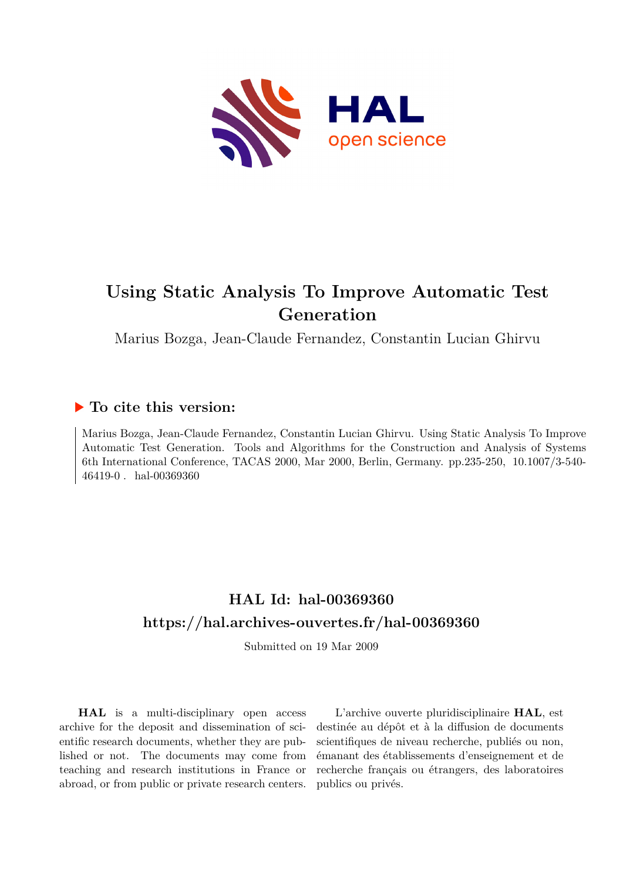

# **Using Static Analysis To Improve Automatic Test Generation**

Marius Bozga, Jean-Claude Fernandez, Constantin Lucian Ghirvu

## **To cite this version:**

Marius Bozga, Jean-Claude Fernandez, Constantin Lucian Ghirvu. Using Static Analysis To Improve Automatic Test Generation. Tools and Algorithms for the Construction and Analysis of Systems 6th International Conference, TACAS 2000, Mar 2000, Berlin, Germany. pp.235-250, 10.1007/3-540-46419-0. hal-00369360

# **HAL Id: hal-00369360 <https://hal.archives-ouvertes.fr/hal-00369360>**

Submitted on 19 Mar 2009

**HAL** is a multi-disciplinary open access archive for the deposit and dissemination of scientific research documents, whether they are published or not. The documents may come from teaching and research institutions in France or abroad, or from public or private research centers.

L'archive ouverte pluridisciplinaire **HAL**, est destinée au dépôt et à la diffusion de documents scientifiques de niveau recherche, publiés ou non, émanant des établissements d'enseignement et de recherche français ou étrangers, des laboratoires publics ou privés.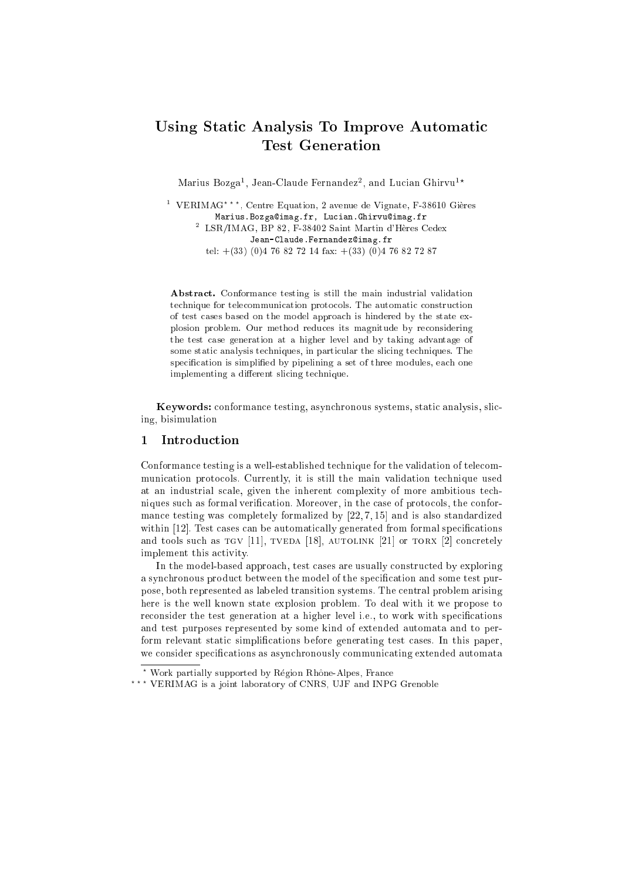# Using Static Analysis To Improve Automatic

marius Dozga-, Jean-Claude Fernandez-, and Lucian Ghirvu

<sup>1</sup> VERIMAG? ? ? , Centre Equation, 2 avenue de Vignate, F-38610 Gieres marius.Bozga.emag.fr, Lucian.chirus.chirus.g <sup>2</sup> LSR/IMAG, BP 82, F-38402 Saint Martin d'Heres Cedex Jean-Claude.Fernandez@imag.fr tel:  $+(33)(0)476827214$  fax:  $+(33)(0)476827287$ 

Abstract. Conformance testing is still the main industrial validation technique for telecommunication protocols. The automatic construction of test cases based on the model approach is hindered by the state explosion problem. Our method reduces its magnitude by reconsidering the test case generation at a higher level and by taking advantage of some static analysis techniques, in particular the slicing techniques. The specification is simplified by pipelining a set of three modules, each one implementing a different slicing technique.

Keywords: conformance testing, asynchronous systems, static analysis, slicing, bisimulation

## Introduction  $\mathbf{1}$

Conformance testing is a well-established technique for the validation of telecommunication protocols. Currently, it is still the main validation technique used at an industrial scale, given the inherent complexity of more ambitious techniques such as formal verification. Moreover, in the case of protocols, the conformance testing was completely formalized by  $[22, 7, 15]$  and is also standardized within [12]. Test cases can be automatically generated from formal specifications and tools such as TGV  $[11]$ , TVEDA  $[18]$ , AUTOLINK  $[21]$  or TORX  $[2]$  concretely implement this activity.

In the model-based approach, test cases are usually constructed by exploring a synchronous product between the model of the specication and some test purpose, both represented as labeled transition systems. The central problem arising here is the well known state explosion problem. To deal with it we propose to reconsider the test generation at a higher level i.e., to work with specifications and test purposes represented by some kind of extended automata and to perform relevant static simplifications before generating test cases. In this paper, we consider specifications as asynchronously communicating extended automata

<sup>?</sup> Work partially supported by Region Rh^one-Alpes, France

<sup>?</sup> ? ? VERIMAG is a joint laboratory of CNRS, UJF and INPG Grenoble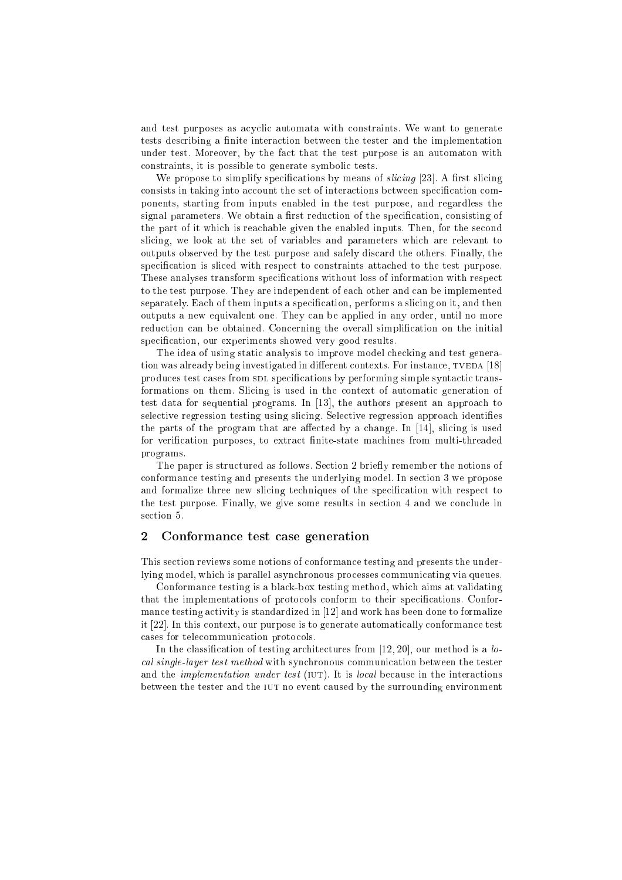and test purposes as acyclic automata with constraints. We want to generate tests describing a finite interaction between the tester and the implementation under test. Moreover, by the fact that the test purpose is an automaton with constraints, it is possible to generate symbolic tests.

We propose to simplify specifications by means of *slicing* [23]. A first slicing consists in taking into account the set of interactions between specication components, starting from inputs enabled in the test purpose, and regardless the signal parameters. We obtain a first reduction of the specification, consisting of the part of it which is reachable given the enabled inputs. Then, for the second slicing, we look at the set of variables and parameters which are relevant to outputs observed by the test purpose and safely discard the others. Finally, the specification is sliced with respect to constraints attached to the test purpose. These analyses transform specications without loss of information with respect to the test purpose. They are independent of each other and can be implemented separately. Each of them inputs a specification, performs a slicing on it, and then outputs a new equivalent one. They can be applied in any order, until no more reduction can be obtained. Concerning the overall simplification on the initial specification, our experiments showed very good results.

The idea of using static analysis to improve model checking and test generation was already being investigated in different contexts. For instance, TVEDA [18] produces test cases from SDL specifications by performing simple syntactic transformations on them. Slicing is used in the context of automatic generation of test data for sequential programs. In [13], the authors present an approach to selective regression testing using slicing. Selective regression approach identies the parts of the program that are affected by a change. In  $[14]$ , slicing is used for verification purposes, to extract finite-state machines from multi-threaded programs.

The paper is structured as follows. Section 2 briefly remember the notions of conformance testing and presents the underlying model. In section 3 we propose and formalize three new slicing techniques of the specification with respect to the test purpose. Finally, we give some results in section 4 and we conclude in section 5.

### 2Conformance test case generation

This section reviews some notions of conformance testing and presents the underlying model, which is parallel asynchronous processes communicating via queues.

Conformance testing is a black-box testing method, which aims at validating that the implementations of protocols conform to their specications. Conformance testing activity is standardized in [12] and work has been done to formalize it [22]. In this context, our purpose is to generate automatically conformance test cases for telecommunication protocols.

In the classification of testing architectures from  $[12, 20]$ , our method is a *lo*cal single-layer test method with synchronous communication between the tester and the *implementation under test* ( $IUT$ ). It is *local* because in the interactions between the tester and the IUT no event caused by the surrounding environment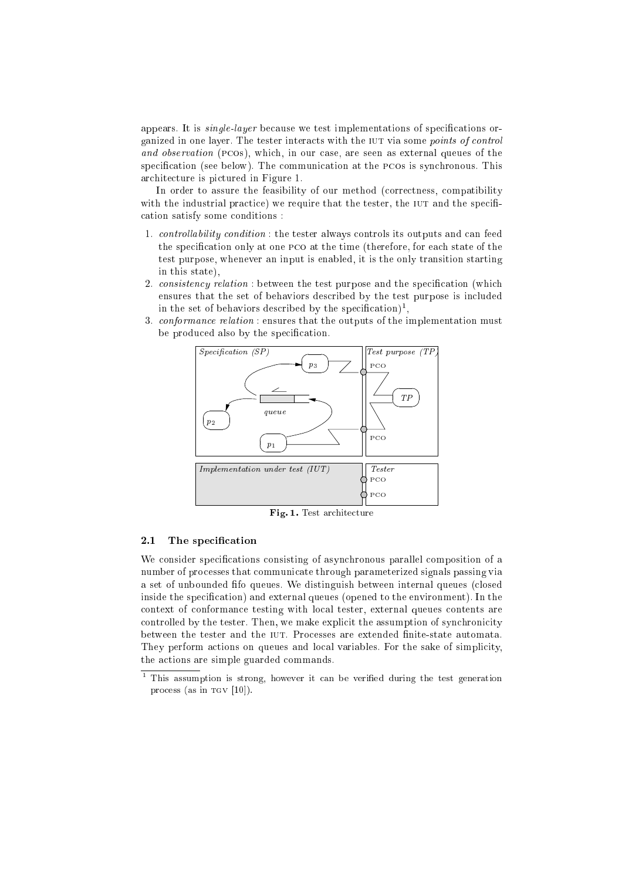appears. It is *single-layer* because we test implementations of specifications organized in one layer. The tester interacts with the IUT via some *points of control* and observation (pcos), which, in our case, are seen as external queues of the specification (see below). The communication at the PCOs is synchronous. This architecture is pictured in Figure 1.

In order to assure the feasibility of our method (correctness, compatibility with the industrial practice) we require that the tester, the IUT and the specification satisfy some conditions :

- 1. *controllability condition*: the tester always controls its outputs and can feed the specication only at one pco at the time (therefore, for each state of the test purpose, whenever an input is enabled, it is the only transition starting in this state),
- 2. consistency relation : between the test purpose and the specification (which ensures that the set of behaviors described by the test purpose is included in the set of behaviors described by the specification) $\cdot$ ,
- 3. conformance relation : ensures that the outputs of the implementation must be produced also by the specification.



Fig. 1. Test architecture

#### $2.1$ The specification

We consider specifications consisting of asynchronous parallel composition of a number of processes that communicate through parameterized signals passing via a set of unbounded fifo queues. We distinguish between internal queues (closed inside the specication) and external queues (opened to the environment). In the context of conformance testing with local tester, external queues contents are controlled by the tester. Then, we make explicit the assumption of synchronicity between the tester and the IUT. Processes are extended finite-state automata. They perform actions on queues and local variables. For the sake of simplicity, the actions are simple guarded commands.

<sup>1</sup> This assumption is strong, however it can be veried during the test generation process (as in  $\text{TSV}$  [10]).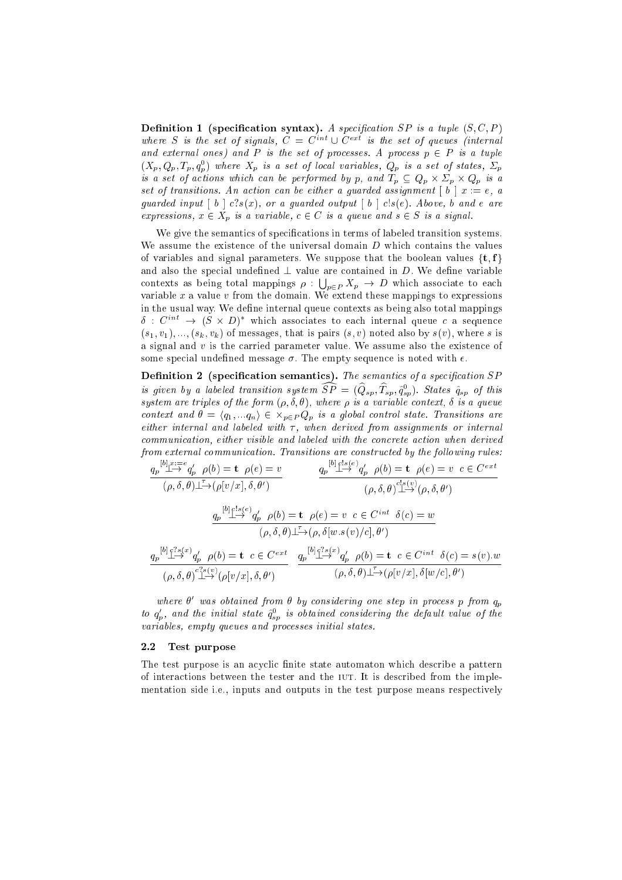Denition <sup>1</sup> (specication syntax). A specication SP is a tuple (S; C; <sup>P</sup> ) where S is the set of signals,  $C = C^{int} \cup C^{ext}$  is the set of queues (internal and external ones) and P is the set of processes. A process  $p \in P$  is a tuple  $(\Lambda_p, Q_p, I_p, q_n)$  where  $\Lambda_p$  is a set of local variables,  $Q_p$  is a set of states,  $\omega_p$ is a set of a set of a set of a set of and Tp is and Tp is and Tp is and Tp is and Tp is and Tp is and Tp is a set of transitions. An action can be either a guarded assignment  $\begin{bmatrix} b \end{bmatrix} x := e$ , a guarded input  $[b]$   $c?s(x)$ , or a guarded output  $[b]$   $c!s(e)$ . Above, b and e are expressions,  $x \in X_p$  is a variable,  $c \in C$  is a queue and  $s \in S$  is a signal.

We give the semantics of specifications in terms of labeled transition systems. We assume the existence of the universal domain  $D$  which contains the values of variables and signal parameters. We suppose that the boolean values  $\{t, f\}$ and also the special undefined  $\perp$  value are contained in D. We define variable contexts as being total mappings  $\rho : \bigcup_{n \in P} X_p \to D$  which associate to each variable x a value v from the domain. We extend these mappings to expressions in the usual way. We define internal queue contexts as being also total mappings  $\theta$  :  $C \rightarrow (\beta \times D)$  which associates to each internal queue c a sequence  $(s_1, v_1), ..., (s_k, v_k)$  of messages, that is pairs  $(s, v)$  noted also by  $s(v)$ , where s is a signal and  $v$  is the carried parameter value. We assume also the existence of some special undefined message  $\sigma$ . The empty sequence is noted with  $\epsilon$ .

Denition <sup>2</sup> (specication semantics). The semantics of a specication SP is given by a tabeled transition system  $\mathcal{S}P \equiv \left( Q_{sp}, I_{sp}, q_{sp} \right)$ . States  $q_{sp}$  of this system are triples of the form  $(\rho, \delta, \theta)$ , where  $\rho$  is a variable context,  $\delta$  is a queue  $\mathbf{v}_1$  is a global control state. The global control state  $\mathbf{v}_2$ either internal and labeled with  $\tau$ , when derived from assignments or internal communication, either visible and labeled with the concrete action when derived from external communication. Transitions are constructed by the following rules:

$$
q_p \stackrel{[b]_1 x := e}{\longrightarrow} q'_p \quad \rho(b) = \mathbf{t} \quad \rho(e) = v
$$
\n
$$
(\rho, \delta, \theta) \stackrel{\tau}{\longrightarrow} (\rho[v/x], \delta, \theta')
$$
\n
$$
q_p \stackrel{[b]_1 c(s(e)}{\longrightarrow} q'_p \quad \rho(b) = \mathbf{t} \quad \rho(e) = v \quad c \in C^{ext}
$$
\n
$$
(\rho, \delta, \theta) \stackrel{\tau}{\longrightarrow} (\rho, \delta, \theta')
$$
\n
$$
q_p \stackrel{[b]_1 c(s(e)}{\longrightarrow} q'_p \quad \rho(b) = \mathbf{t} \quad \rho(e) = v \quad c \in C^{int} \quad \delta(c) = w
$$
\n
$$
(\rho, \delta, \theta) \stackrel{\tau}{\longrightarrow} (\rho, \delta[w.s(v)/c], \theta')
$$
\n
$$
q_p \stackrel{[b]_1 c(s(v))}{\longrightarrow} q'_p \quad \rho(b) = \mathbf{t} \quad c \in C^{ext}
$$
\n
$$
q_p \stackrel{[b]_1 c(s(v))}{\longrightarrow} (\rho, \delta, \theta) \stackrel{\tau}{\longrightarrow} (\rho, \delta, \theta) \stackrel{\tau}{\longrightarrow} (\rho[v/x], \delta(w/c], \theta')
$$
\n
$$
(\rho, \delta, \theta) \stackrel{\tau}{\longrightarrow} (\rho[v/x], \delta(w/c], \theta')
$$

where  $\sigma$  was obtained from  $\sigma$  by considering one step in process  $p$  from  $q_p$ to  $q_p,$  and the initial state  $q_{\bar{s}p}$  is obtained considering the default value of the variables, empty queues and processes initial states.

## 2.2 Test purposes and the contract purposes are all the contract purposes and the contract purposes of the contract purposes are all the contract purposes of the contract purposes of the contract purposes of the contract p

The test purpose is an acyclic finite state automaton which describe a pattern of interactions between the tester and the iut. It is described from the implementation side i.e., inputs and outputs in the test purpose means respectively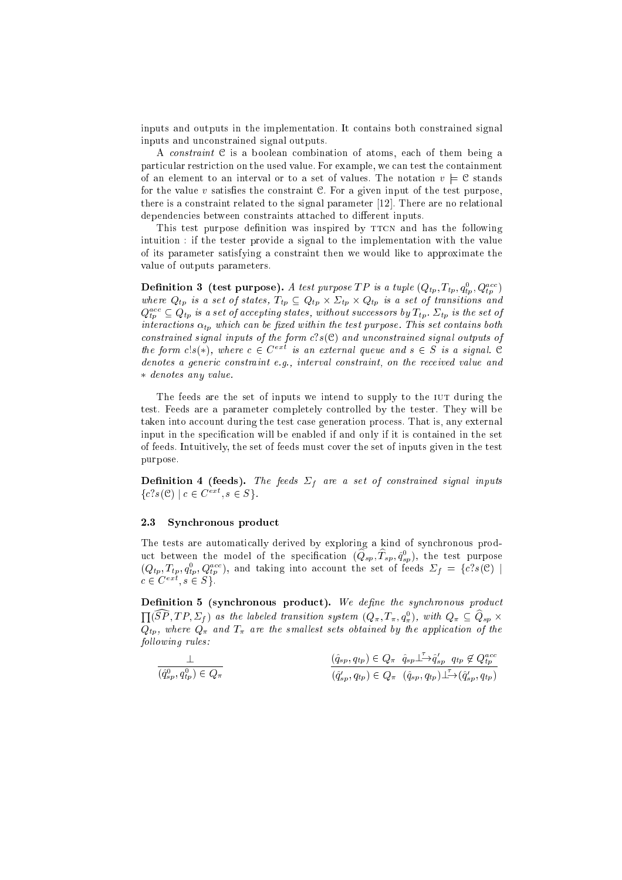inputs and outputs in the implementation. It contains both constrained signal inputs and unconstrained signal outputs.

A *constraint*  $C$  is a boolean combination of atoms, each of them being a particular restriction on the used value. For example, we can test the containment of an element to an interval or to a set of values. The notation  $v \models C$  stands for the value  $v$  satisfies the constraint  $\mathcal C$ . For a given input of the test purpose, there is a constraint related to the signal parameter [12]. There are no relational dependencies between constraints attached to different inputs.

This test purpose definition was inspired by TTCN and has the following intuition : if the tester provide a signal to the implementation with the value of its parameter satisfying a constraint then we would like to approximate the value of outputs parameters.

**Definition 5** (test purpose). A test purpose I P is a tuple  $(Q_{tp}, I_{tp}, q_{tp}^i, Q_{tn}^{T})$  $\mathcal{I} \mathcal{I} \mathcal{I} \mathcal{I} \mathcal{I} \mathcal{I} \mathcal{I} \mathcal{I} \mathcal{I} \mathcal{I} \mathcal{I} \mathcal{I} \mathcal{I} \mathcal{I} \mathcal{I} \mathcal{I} \mathcal{I} \mathcal{I} \mathcal{I} \mathcal{I} \mathcal{I} \mathcal{I} \mathcal{I} \mathcal{I} \mathcal{I} \mathcal{I} \mathcal{I} \mathcal{I} \mathcal{I} \mathcal{I} \mathcal{I} \mathcal{I} \mathcal{I} \mathcal{I} \mathcal{I} \mathcal{I} \mathcal{$  $Q_{tn}^{+} \subseteq Q_{tp}$  is a set of accepting states, without successors by  $\Gamma_{tp}$ .  $\geq_{tp}$  is the set of interactions  $\alpha_{tp}$  which can be fixed within the test purpose. This set contains both constrained signal inputs of the form  $c?s(\mathcal{C})$  and unconstrained signal outputs of the form  $c|s(*)$ , where  $c \in C^{ext}$  is an external queue and  $s \in S$  is a signal. C denotes a generic constraint e.g., interval constraint, on the received value and denotes any value.

The feeds are the set of inputs we intend to supply to the IUT during the test. Feeds are a parameter completely controlled by the tester. They will be taken into account during the test case generation process. That is, any external input in the specification will be enabled if and only if it is contained in the set of feeds. Intuitively, the set of feeds must cover the set of inputs given in the test purpose.

 $\blacksquare$  ---------  $\blacksquare$  (feeds). The feeds for any and for a set of constraint signal inputs  $\{C(S|\mathbf{C}) \mid C \in \mathbf{C}^{++}, S \in \mathcal{S}\}.$ 

## 2.3 Synchronous product

The tests are automatically derived by exploring a kind of synchronous product between the model of the specification  $(Q_{sp}, I_{sp}, q_{sn})$ , the test purpose  $\left(Q_{tp}, I_{tp}, Q_{tp}, Q_{tp}\right)$ , and taking into account the set of feeds  $\mathcal{Z}_f = \{c; s(\cup) \mid \mathcal{Z}_f\}$  $c \in \cup \dots, s \in \cup \}$  .

Denition <sup>5</sup> (synchronous product). We dene the synchronous product  $\prod (SP, TP, \Sigma_f)$  as the labeled transition system  $(Q_\pi, T_\pi, q_\pi^0)$ , with  $Q_\pi \subseteq Q_{sp} \times$  $Q_{tp}$ , where  $Q_{\pi}$  and  $T_{\pi}$  are the smallest sets obtained by the application of the following rules:

$$
\frac{\bot}{(\hat{q}_{sp}^0, q_{tp}^0) \in Q_{\pi}} \qquad \qquad \frac{(\hat{q}_{sp}, q_{tp}) \in Q_{\pi} \quad \hat{q}_{sp} \bot^{\mathcal{I}} \rightarrow \hat{q}_{sp}^{\prime} \quad q_{tp} \notin Q_{tp}^{acc}}{(\hat{q}_{sp}^{\prime}, q_{tp}) \in Q_{\pi} \quad (\hat{q}_{sp}, q_{tp}) \bot^{\mathcal{I}} \rightarrow (\hat{q}_{sp}^{\prime}, q_{tp})}
$$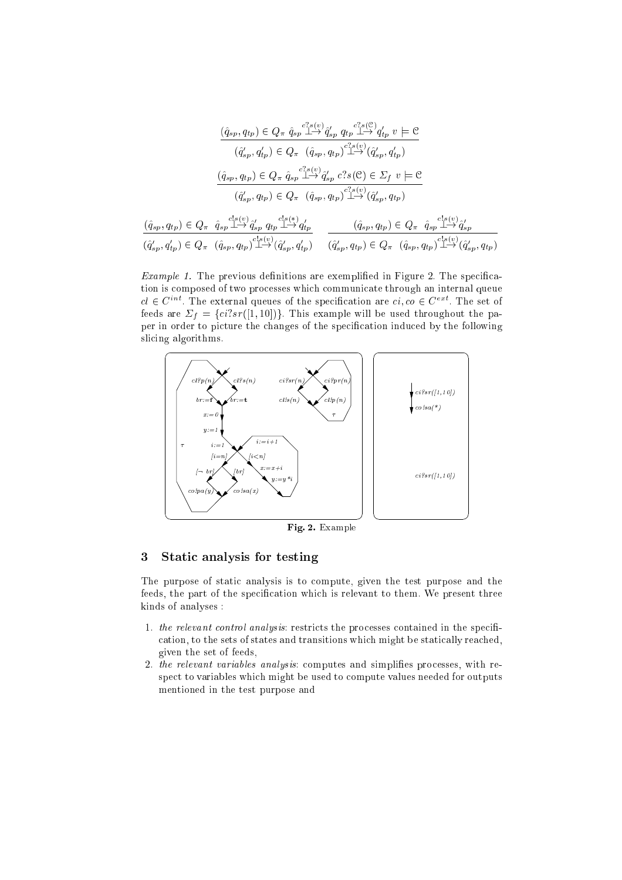$$
\frac{\left(\hat{q}_{sp}, q_{tp}\right) \in Q_{\pi} \hat{q}_{sp} \xrightarrow{c_{sp}^{2}(v)} \hat{q}_{sp}' \ q_{tp} \xrightarrow{c_{sp}^{2}(v)} q_{tp}' \ v \models \mathcal{C} \right)}{\left(\hat{q}_{sp}', q_{tp}'\right) \in Q_{\pi} \left(\hat{q}_{sp}, q_{tp}\right)^{c_{sp}^{2}(v)} \left(\hat{q}_{sp}', q_{tp}'\right)}
$$
\n
$$
\frac{\left(\hat{q}_{sp}, q_{tp}\right) \in Q_{\pi} \hat{q}_{sp} \xrightarrow{c_{sp}^{2}(v)} \hat{q}_{sp}' \ c_{sp}^{2}(v) \in \Sigma_{f} \ v \models \mathcal{C} \right)}{\left(\hat{q}_{sp}', q_{tp}\right) \in Q_{\pi} \left(\hat{q}_{sp}, q_{tp}\right)^{c_{sp}^{2}(v)} \left(\hat{q}_{sp}', q_{tp}\right)}
$$
\n
$$
\frac{\left(\hat{q}_{sp}, q_{tp}\right) \in Q_{\pi} \hat{q}_{sp} \xrightarrow{c_{sp}^{1}(v)} \hat{q}_{sp}' \ q_{tp} \xrightarrow{c_{sp}^{1}(v)} \hat{q}_{tp}' \ \left(\hat{q}_{sp}', q_{tp}\right)^{c_{sp}^{2}(v)} \left(\hat{q}_{sp}', q_{tp}\right)^{c_{sp}^{2}(v)} \hat{q}_{sp}' \ \left(\hat{q}_{sp}', q_{tp}\right)^{c_{sp}^{2}(v)} \left(\hat{q}_{sp}', q_{tp}\right)^{c_{sp}^{2}(v)} \left(\hat{q}_{sp}', q_{tp}\right)^{c_{sp}^{2}(v)} \left(\hat{q}_{sp}', q_{tp}\right)^{c_{sp}^{2}(v)} \left(\hat{q}_{sp}', q_{tp}\right)^{c_{sp}^{2}(v)} \left(\hat{q}_{sp}', q_{tp}\right)^{c_{sp}^{2}(v)} \left(\hat{q}_{sp}', q_{tp}\right)^{c_{sp}^{2}(v)} \left(\hat{q}_{sp}', q_{tp}\right)^{c_{sp}^{2}(v)} \left(\hat{q}_{sp}', q_{tp}\right)^{c_{sp}^{2}(v)} \left(\hat{q}_{sp}', q_{tp}\right)^{c_{sp}^{2}(v)} \left(\hat{q}_{sp}', q_{tp}\right)^{c_{sp}^{2}(v)} \left(\hat{q}_{sp}', q_{tp}\right)^{c_{sp}^{2}(v)} \left(\hat{q}_{sp}', q_{tp}\right)^{
$$

 $Example 1$ . The previous definitions are exemplified in Figure 2. The specification is composed of two processes which communicate through an internal queue  $c_l \in \mathbb{C}$  and the external queues of the specification are  $c_l, c\bar{o} \in \mathbb{C}$  and the set of feeds are  $\Sigma_f = \{ci?sr([1, 10])\}$ . This example will be used throughout the paper in order to picture the changes of the specication induced by the following slicing algorithms.



## Fig. 2. Example

## 3Static analysis for testing

The purpose of static analysis is to compute, given the test purpose and the feeds, the part of the specification which is relevant to them. We present three kinds of analyses :

- 1. the relevant control analysis: restricts the processes contained in the specification, to the sets of states and transitions which might be statically reached, given the set of feeds,
- 2. the relevant variables analysis: computes and simplifies processes, with respect to variables which might be used to compute values needed for outputs mentioned in the test purpose and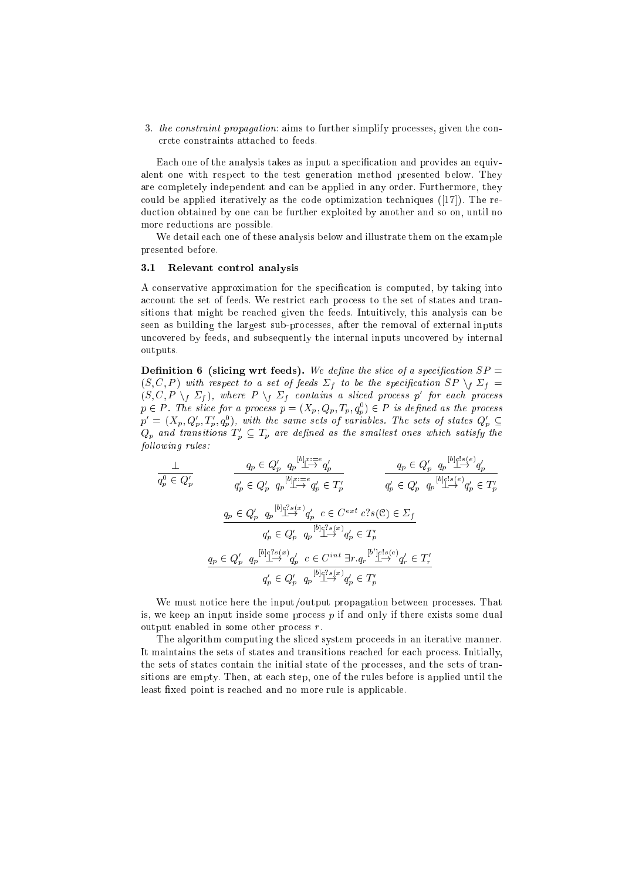3. the constraint propagation: aims to further simplify processes, given the concrete constraints attached to feeds.

Each one of the analysis takes as input a specification and provides an equivalent one with respect to the test generation method presented below. They are completely independent and can be applied in any order. Furthermore, they could be applied iteratively as the code optimization techniques ([17]). The reduction obtained by one can be further exploited by another and so on, until no more reductions are possible.

We detail each one of these analysis below and illustrate them on the example presented before.

## 3.1 Relevant control analysis

A conservative approximation for the specification is computed, by taking into account the set of feeds. We restrict each process to the set of states and transitions that might be reached given the feeds. Intuitively, this analysis can be seen as building the largest sub-processes, after the removal of external inputs uncovered by feeds, and subsequently the internal inputs uncovered by internal outputs.

 $D$ enition 6 (slicing write of a special write of a special write of a special write of a special write of a special write of a special write of a special write of a special write of a special write  $\alpha$  $(S, C, P)$  with respect to a set of feeds  $\Sigma_f$  to be the specification  $SP \setminus_f \Sigma_f =$  $(S, C, P \setminus f \setminus f)$ , where  $P \setminus f \setminus f$  contains a sticed process polyor each process  $p \in P$ . The suce for a process  $p = (A_p, Q_p, I_p, q_n) \in P$  is defined as the process  $p^0 = (\Lambda_p, Q_p, I_p, q_p)$ , with the same sets of variables. The sets of states  $Q_p \subseteq$  $Q_p$  and transitions  $\mathbf{1}_p \subseteq \mathbf{1}_p$  are defined as the smallest ones which satisfy the following rules:

$$
\begin{array}{ll}\n\frac{\bot}{q_p^0 \in Q'_p} & \frac{q_p \in Q'_p \quad q_p \stackrel{[b]x := e}{\bot \rightarrow} q'_p}{q'_p \in Q'_p \quad q_p \stackrel{[b]x := e}{\bot \rightarrow} q'_p \in T'_p} & \frac{q_p \in Q'_p \quad q_p \stackrel{[b]c]s(e)}{\bot \rightarrow} q'_p}{q'_p \in Q'_p \quad q_p \stackrel{[b]c]s(e)}{\bot \rightarrow} q'_p \in T'_p} \\
& \frac{q_p \in Q'_p \quad q_p \stackrel{[b]c]x}{\bot \rightarrow} q'_p \quad c \in C^{ext} c?s(\mathcal{C}) \in \Sigma_f}{q'_p \in Q'_p \quad q_p \stackrel{[b]c]x(e)}{\bot \rightarrow} q'_p \in T'_p} \\
& \frac{q_p \in Q'_p \quad q_p \stackrel{[b]c]z(s)}{\bot \rightarrow} q'_p \quad c \in C^{int} \exists r. q_r \stackrel{[b']c]c(s)}{\bot \rightarrow} q'_r \in T'_r}{q'_p \in Q'_p \quad q_p \stackrel{[b]c]z(s)}{\bot \rightarrow} q'_p \in T'_p}\n\end{array}
$$

We must notice here the input/output propagation between processes. That is, we keep an input inside some process  $p$  if and only if there exists some dual output enabled in some other process  $r$ .

The algorithm computing the sliced system proceeds in an iterative manner. It maintains the sets of states and transitions reached for each process. Initially, the sets of states contain the initial state of the processes, and the sets of transitions are empty. Then, at each step, one of the rules before is applied until the least fixed point is reached and no more rule is applicable.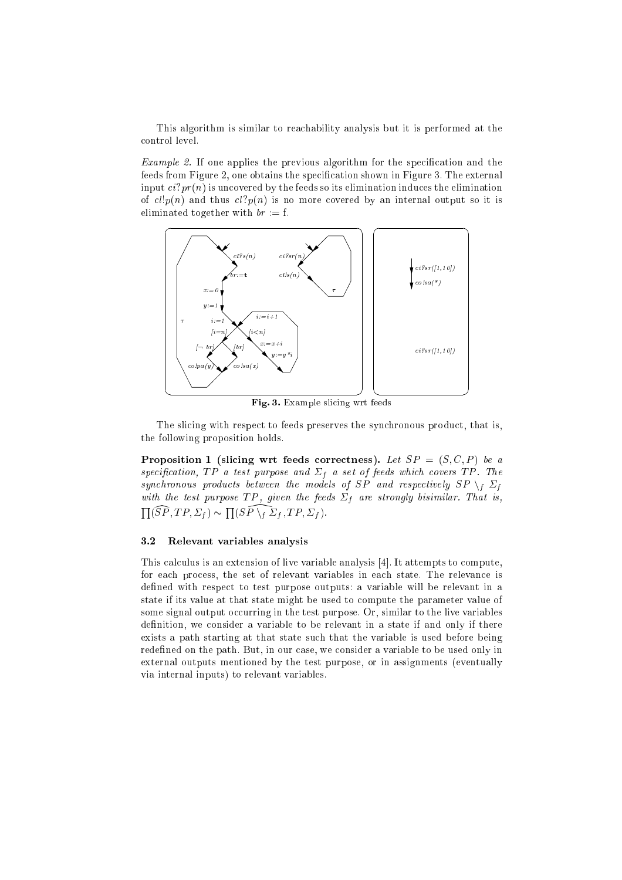This algorithm is similar to reachability analysis but it is performed at the control level.

*Example 2.* If one applies the previous algorithm for the specification and the feeds from Figure 2, one obtains the specication shown in Figure 3. The external input  $\operatorname{ci}$ ? $\operatorname{pr}(n)$  is uncovered by the feeds so its elimination induces the elimination of  $cl!p(n)$  and thus  $cl?p(n)$  is no more covered by an internal output so it is eliminated together with  $br := f$ .



Fig. 3. Example slicing wrt feeds

The slicing with respect to feeds preserves the synchronous product, that is, the following proposition holds.

Proposition <sup>1</sup> (slicing wrt feeds correctness). Let SP = (S; C; <sup>P</sup> ) be a specification, TP a test purpose and  $\Sigma_f$  a set of feeds which covers TP. The synchronous products between the models of SP and respectively SP  $\setminus_f$   $\Sigma_f$ with the test purpose  $TP$ , given the feeds  $\Sigma_f$  are strongly bisimilar. That is,  $\prod (SP, TP, \Sigma_f) \sim \prod (SP \setminus_f \Sigma_f, TP, \Sigma_f).$ 

#### 3.2Relevant variables analysis

This calculus is an extension of live variable analysis [4]. It attempts to compute, for each process, the set of relevant variables in each state. The relevance is defined with respect to test purpose outputs: a variable will be relevant in a state if its value at that state might be used to compute the parameter value of some signal output occurring in the test purpose. Or, similar to the live variables definition, we consider a variable to be relevant in a state if and only if there exists a path starting at that state such that the variable is used before being redefined on the path. But, in our case, we consider a variable to be used only in external outputs mentioned by the test purpose, or in assignments (eventually via internal inputs) to relevant variables.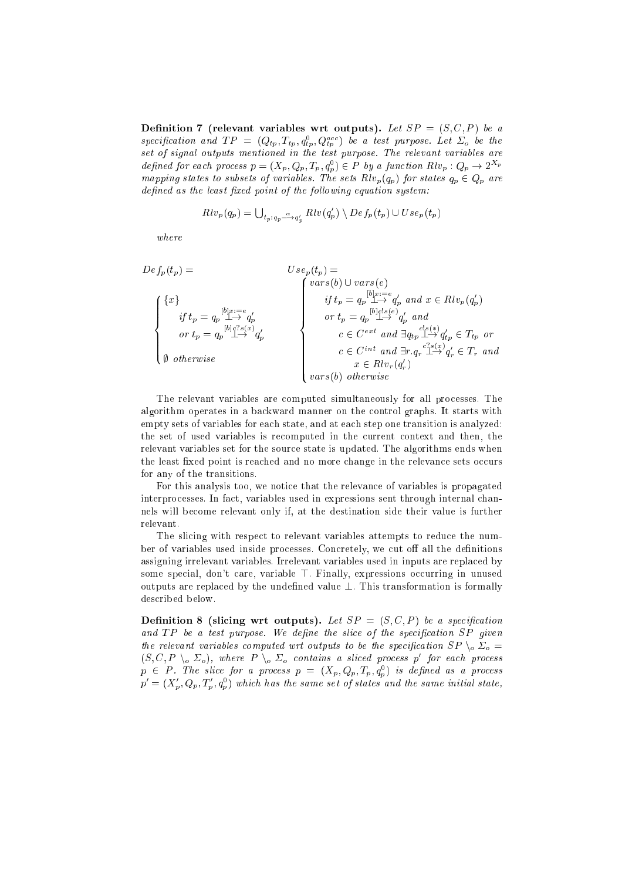Denition <sup>7</sup> (relevant variables wrt outputs). Let SP = (S; C; <sup>P</sup> ) be a  $specinca$ tion and  $IP = (Q_{tp}, I_{tp}, Q_{tp}^r, Q_{tp}^{r})$  be a test purpose. Let  $\Delta_o$  be the set of signal outputs mentioned in the test purpose. The relevant variables are defined for each process  $p = (A_p, Q_p, I_p, q_p) \in P$  by a function  $R(v_p : Q_p \to Z^{1-p})$ mapping states to subsets of variables. The sets  $Rlv_p(q_p)$  for states  $q_p \in Q_p$  are  $defined$  as the least fixed point of the following equation system:

$$
Rlv_p(q_p) = \bigcup_{t_p, q_p} \mathbb{L}_{q'_p} Rlv(q'_p) \setminus Def_p(t_p) \cup Use_p(t_p)
$$

<sup>p</sup>

where

$$
Def_p(t_p) = \n\begin{cases} \n\{x\} & \text{if } t_p = q_p \xrightarrow{[b]x := e} q'_p \\ \n\text{if } t_p = q_p \xrightarrow{[b]x := e} q'_p \\ \n\text{or } t_p = q_p \xrightarrow{[b]c_1^2 s(x)} q'_p \\ \n\text{or } t_p = q_p \xrightarrow{[b]c_1^2 s(x)} q'_p \\ \n\text{or } t_p = q_p \xrightarrow{[b]c_1^2 s(x)} q'_p \\ \n\text{or } t_p = q_p \xrightarrow{[b]c_1^2 s(x)} q'_p \\ \n\text{or } t_p = q_p \xrightarrow{[b]c_1^2 s(x)} q'_p \\ \n\text{or } t_p = q_p \xrightarrow{[b]c_1^2 s(x)} q'_p \\ \n\text{or } t_p = q_p \xrightarrow{[b]c_1^2 s(x)} q'_p \\ \n\text{or } t_p = q_p \xrightarrow{[b]c_1^2 s(x)} q'_p \\ \n\text{or } t_p = q_p \xrightarrow{[b]c_1^2 s(x)} q'_p \\ \n\text{or } t_p = q_p \xrightarrow{[b]c_1^2 s(x)} q'_p \\ \n\text{or } t_p = q_p \xrightarrow{[b]c_1^2 s(x)} q'_p \\ \n\text{or } t_p = q_p \xrightarrow{[b]c_1^2 s(x)} q'_p \\ \n\text{or } t_p = q_p \xrightarrow{[b]c_1^2 s(x)} q'_p \\ \n\text{or } t_p = q_p \xrightarrow{[c]c_1^2 s(x)} q'_p \\ \n\text{or } t_p = q_p \xrightarrow{[c]c_1^2 s(x)} q'_p \\ \n\text{or } t_p = q_p \xrightarrow{[c]c_1^2 s(x)} q'_p \\ \n\text{or } t_p = q_p \xrightarrow{[c]c_1^2 s(x)} q'_p \\ \n\text{or } t_p = q_p \xrightarrow{[c]c_1^2 s(x)} q'_p \\ \n\text{or } t_p = q_p \xrightarrow{[c]c_1^2 s(x)} q'_p \\ \n\text{or } t_p = q_p \xrightarrow{[c]c_1^2 s(x)} q'_p \\ \n\text{or } t_p = q_p \xrightarrow{[c]c_1^2 s(x)} q'_p \\ \n\text{or } t_p = q_p \xrightarrow{[c]c_1^2 s(x)} q'_p \\ \n\text
$$

The relevant variables are computed simultaneously for all processes. The algorithm operates in a backward manner on the control graphs. It starts with empty sets of variables for each state, and at each step one transition is analyzed: the set of used variables is recomputed in the current context and then, the relevant variables set for the source state is updated. The algorithms ends when the least fixed point is reached and no more change in the relevance sets occurs for any of the transitions.

For this analysis too, we notice that the relevance of variables is propagated interprocesses. In fact, variables used in expressions sent through internal channels will become relevant only if, at the destination side their value is further relevant.

The slicing with respect to relevant variables attempts to reduce the number of variables used inside processes. Concretely, we cut off all the definitions assigning irrelevant variables. Irrelevant variables used in inputs are replaced by some special, don't care, variable  $\top$ . Finally, expressions occurring in unused outputs are replaced by the undefined value  $\perp$ . This transformation is formally described below.

Denition <sup>8</sup> (slicing wrt outputs). Let SP = (S; C; <sup>P</sup> ) be a specication and  $TP$  be a test purpose. We define the slice of the specification  $SP$  given the relevant variables computed wrt outputs to be the specification  $SP \setminus_{o} \Sigma_{o} =$  $(S, C, P \setminus_{o} \mathbb{Z}_{o})$ , where  $P \setminus_{o} \mathbb{Z}_{o}$  contains a suced process  $p$  for each process  $p \in P$ . The slice for a process  $p = (\Lambda_p, \mathcal{Q}_p, \mathcal{I}_p, q_n)$  is defined as a process  $p^{\prime} = (\Lambda_n, \mathcal{Q}_p, \mathcal{I}_n, q_n)$  which has the same set of states and the same initial state,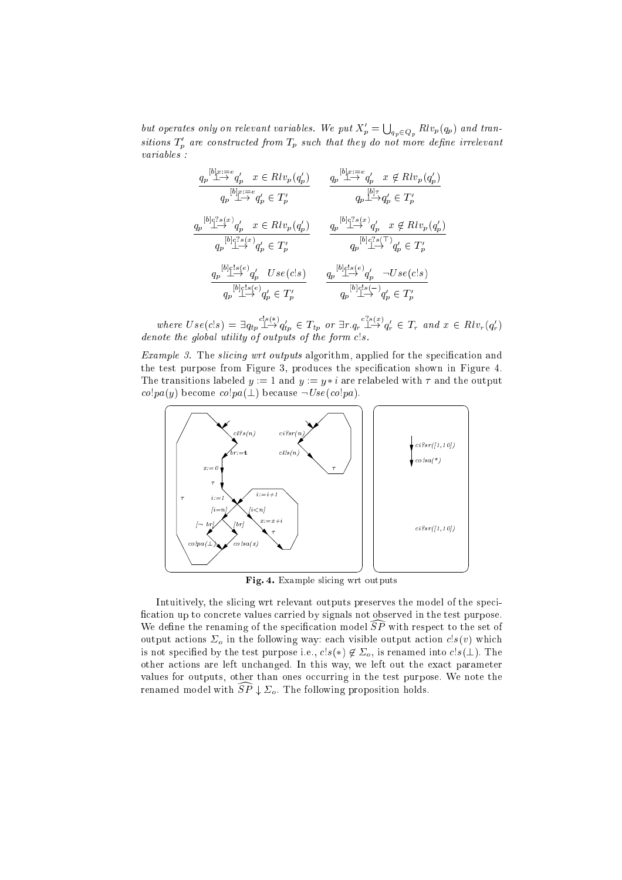but operates only on relevant variables. We put  $X'_p = \bigcup_{q_p \in Q_p} Rlv_p(q_p)$  and transutons  $I_{p}$  are constructed from  $I_{p}$  such that they ao not more define irrelevant variables :

$$
\frac{q_p \stackrel{[b]_x:=e}{\longrightarrow} q'_p \quad x \in Rlv_p(q'_p)}{q_p \stackrel{[b]_x:=e}{\longrightarrow} q'_p \in T'_p} \qquad \frac{q_p \stackrel{[b]_x:=e}{\longrightarrow} q'_p \quad x \notin Rlv_p(q'_p)}{q_p \stackrel{[b]_x:=e}{\longrightarrow} q'_p \in T'_p}
$$
\n
$$
\frac{q_p \stackrel{[b]_x:=e}{\longrightarrow} q'_p \in T'_p}{q_p \stackrel{[b]_x^2=s}(x)}{q'_p \stackrel{[b]_x^2=s}(x)}{q'_p \stackrel{[b]_x^2=s}(x)}{q'_p \stackrel{[b]_x^2=s}(x)}{q'_p \stackrel{[b]_x^2=s}(x)}{q'_p \stackrel{[b]_x^2=s}(x)}{q'_p \stackrel{[b]_x^2=s}(x)}{q'_p \stackrel{[b]_x^2=s}(x)}{q'_p \stackrel{[b]_x^2=s}(x)}{q'_p \stackrel{[b]_x^2=s}(x)}{q'_p \stackrel{[b]_x^2=s}(x)}{q'_p \stackrel{[b]_x^2=s}(x)}{q'_p \in T'_p}}
$$

where  $Use(c|s) = \exists q_{tp} \perp \rightarrow q'_{tp} \in T_{tp}$  or  $\exists r.q_r \perp \rightarrow q'_r \in T_r$  and  $x \in Rlv_r(q'_r)$ denote the global utility of the form cf the form control

Example 3. The slicing wrt outputs algorithm, applied for the specification and the test purpose from Figure 3, produces the specification shown in Figure 4. The transitions labeled  $y := 1$  and  $y := y * i$  are relabeled with  $\tau$  and the output  $co$ !pa(y) become  $co$ !pa( $\perp$ ) because  $\neg$ Use(co!pa).



Fig. 4. Example slicing wrt outputs

Intuitively, the slicing wrt relevant outputs preserves the model of the speci fication up to concrete values carried by signals not observed in the test purpose. We define the renaming of the specification model  $SP$  with respect to the set of output actions  $\Sigma_o$  in the following way: each visible output action  $c!s(v)$  which is not specified by the test purpose i.e.,  $c!s(*) \notin \Sigma_o$ , is renamed into  $c!s(\bot)$ . The other actions are left unchanged. In this way, we left out the exact parameter values for outputs, other than ones occurring in the test purpose. We note the renamed model with  $\overline{SP} \downarrow \Sigma_o$ . The following proposition holds.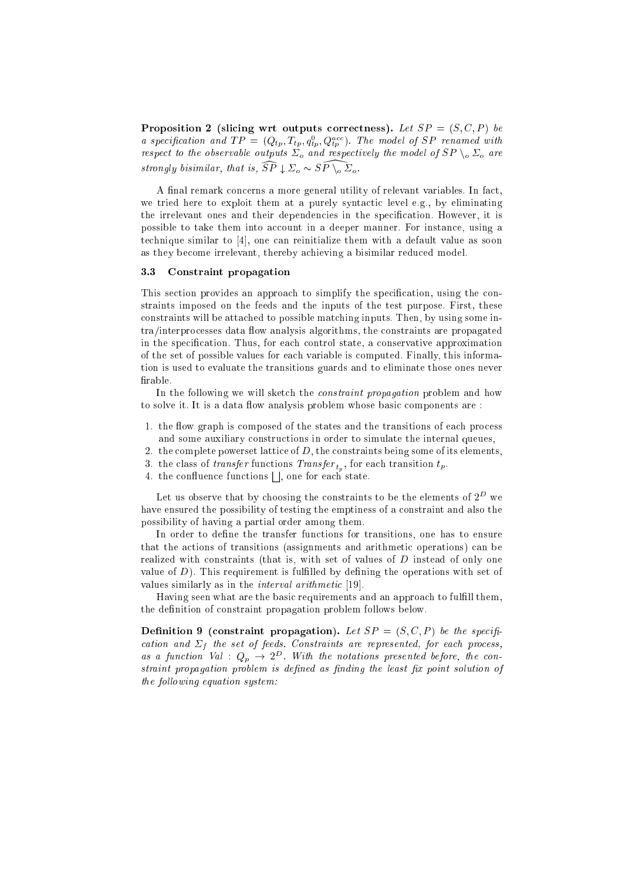Proposition <sup>2</sup> (slicing wrt outputs correctness). Let SP = (S; C; <sup>P</sup> ) be a specification and  $IP = (Q_{tp}, I_{tp}, Q_{tp}^*, Q_{tp}^*)$ . The model of SP renamed with respect to the observable outputs o and respectively the model of SP no o are strongly bisimilar, that is,  $\widehat{SP} \downarrow \Sigma_o \sim \widehat{SP} \setminus_o \Sigma_o$ .

A final remark concerns a more general utility of relevant variables. In fact, we tried here to exploit them at a purely syntactic level e.g., by eliminating the irrelevant ones and their dependencies in the specification. However, it is possible to take them into account in a deeper manner. For instance, using a technique similar to [4], one can reinitialize them with a default value as soon as they become irrelevant, thereby achieving a bisimilar reduced model.

#### $3.3$ Constraint propagation

This section provides an approach to simplify the specification, using the constraints imposed on the feeds and the inputs of the test purpose. First, these constraints will be attached to possible matching inputs. Then, by using some intra/interprocesses data flow analysis algorithms, the constraints are propagated in the specification. Thus, for each control state, a conservative approximation of the set of possible values for each variable is computed. Finally, this information is used to evaluate the transitions guards and to eliminate those ones never firable.

In the following we will sketch the *constraint propagation* problem and how to solve it. It is a data flow analysis problem whose basic components are :

- 1. the flow graph is composed of the states and the transitions of each process and some auxiliary constructions in order to simulate the internal queues,
- 2. the complete powerset lattice of  $D$ , the constraints being some of its elements,
- 3. the class of transition  $f$  transitions  $\mathcal{L}_{\tau}$  transfer that the second transition tp.
- 4. the confluence functions  $\vert \cdot \vert$ , one for each state.

Let us observe that by choosing the constraints to be the elements of  $2^-$  we have ensured the possibility of testing the emptiness of a constraint and also the possibility of having a partial order among them.

In order to define the transfer functions for transitions, one has to ensure that the actions of transitions (assignments and arithmetic operations) can be realized with constraints (that is, with set of values of <sup>D</sup> instead of only one value of  $D$ ). This requirement is fulfilled by defining the operations with set of values similarly as in the interval arithmetic [19].

Having seen what are the basic requirements and an approach to fulfill them, the definition of constraint propagation problem follows below.

 $\blacksquare$  denote by the special propagation  $\rho$  . Let  $S$  be the special propagation  $\rho$ cation and  $\Sigma_f$  the set of feeds. Constraints are represented, for each process, as a function vale  $Q_p \rightarrow Z$  , with the notations presented before, the constraint propagation problem is defined as finding the least fix point solution of the following equation system: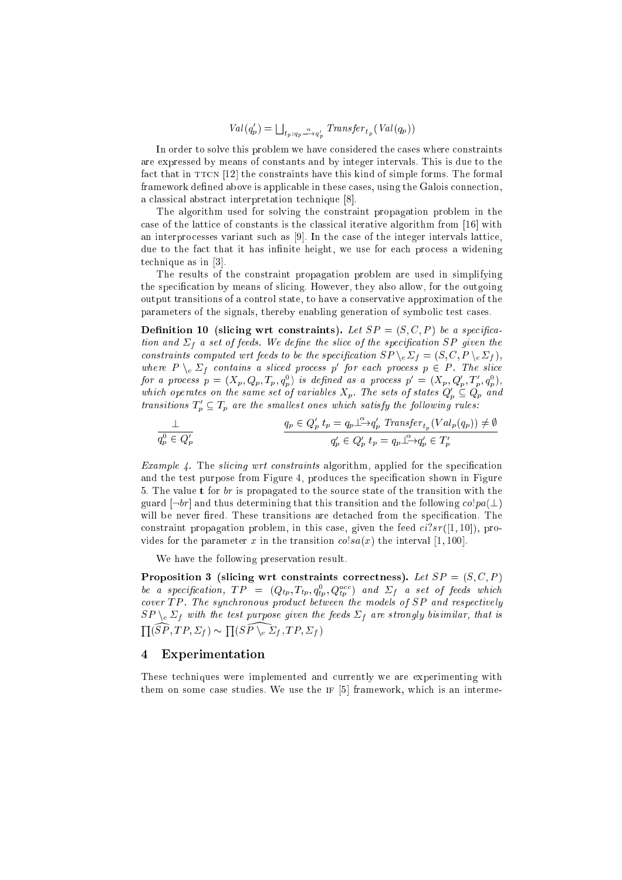$Val(q'_{p}) = \bigsqcup$  $t_p:q_p \longrightarrow q'_p$  and  $t_p \longmapsto t_p$ 

In order to solve this problem we have considered the cases where constraints are expressed by means of constants and by integer intervals. This is due to the fact that in  $TTCN$  [12] the constraints have this kind of simple forms. The formal framework defined above is applicable in these cases, using the Galois connection, a classical abstract interpretation technique [8].

The algorithm used for solving the constraint propagation problem in the case of the lattice of constants is the classical iterative algorithm from [16] with an interprocesses variant such as [9]. In the case of the integer intervals lattice, due to the fact that it has infinite height, we use for each process a widening technique as in [3].

The results of the constraint propagation problem are used in simplifying the specication by means of slicing. However, they also allow, for the outgoing output transitions of a control state, to have a conservative approximation of the parameters of the signals, thereby enabling generation of symbolic test cases.

Denote 10 (slicing write write write write  $\mathcal{L}$  ). Let  $\mathcal{L}$  be a specific write  $\mathcal{L}$  be a specific write  $\mathcal{L}$ tion and  $\Sigma_f$  a set of feeds. We define the slice of the specification SP given the constraints computed wrt feeds to be the specification  $SP \setminus_c \Sigma_f = (S, C, P \setminus_c \Sigma_f)$ , where  $P \setminus_{c} \vartriangle_{f}$  contains a suced process p for each process  $p \in P$ . The suce for a process  $p = (x_p, Q_p, I_p, q_p)$  is defined as a process  $p = (x_p, Q_p, I_p, q_p)$ , which operates on the same set of variables  $\Lambda_p.$  The sets of states  $Q_p \subseteq Q_p$  and transitions  $\mathbf{1}_p \subseteq \mathbf{1}_p$  are the smallest ones which satisfy the following rules:

$$
\frac{\perp}{q_p^0 \in Q'_p} \qquad \qquad \frac{q_p \in Q'_p \ t_p = q_p \perp^{\alpha} \to q'_p \ \ Transfer_{t_p}(Val_p(q_p)) \neq \emptyset}{q'_p \in Q'_p \ t_p = q_p \perp^{\alpha} \to q'_p \in T'_p}
$$

*Example 4.* The *slicing wrt constraints* algorithm, applied for the specification and the test purpose from Figure 4, produces the specication shown in Figure 5. The value <sup>t</sup> for br is propagated to the source state of the transition with the guard  $[\neg br]$  and thus determining that this transition and the following  $colpa(\perp)$ will be never fired. These transitions are detached from the specification. The constraint propagation problem, in this case, given the feed  $ci?sr([1, 10])$ , provides for the parameter x in the transition  $colsa(x)$  the interval [1, 100].

We have the following preservation result.

Proposition <sup>3</sup> (slicing wrt constraints correctness). Let SP = (S; C; <sup>P</sup> ) be a specification,  $IF = (Q_{tp}, I_{tp}, Q_{tp}, Q_{tp})$  and  $Z_f$  a set of feeds which cover T T . The synchronous product between the models of SP and respectively  $SP \setminus_c \Sigma_f$  with the test purpose given the feeds  $\Sigma_f$  are strongly bisimilar, that is  $\Pi(SP, TP, \Sigma_f) \sim \Pi(SP \setminus_c \Sigma_f, TP, \Sigma_f)$ 

## Experimentation

These techniques were implemented and currently we are experimenting with them on some case studies. We use the IF [5] framework, which is an interme-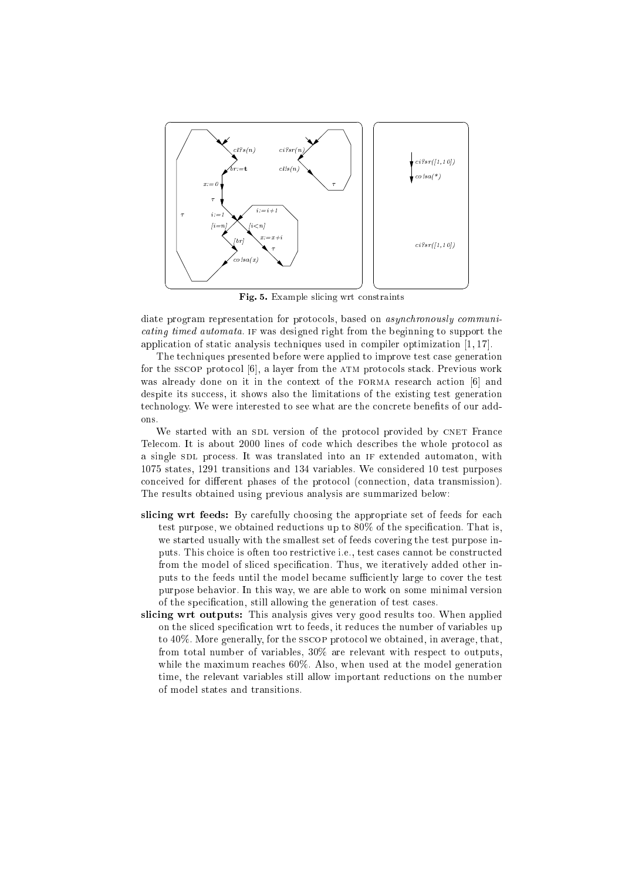

Fig. 5. Example slicing wrt constraints

diate program representation for protocols, based on asynchronously communicating timed automata. if was designed right from the beginning to support the application of static analysis techniques used in compiler optimization [1, 17].

The techniques presented before were applied to improve test case generation for the sscop protocol  $[6]$ , a layer from the ATM protocols stack. Previous work was already done on it in the context of the forma research action [6] and despite its success, it shows also the limitations of the existing test generation technology. We were interested to see what are the concrete benefits of our addons.

We started with an SDL version of the protocol provided by CNET France Telecom. It is about 2000 lines of code which describes the whole protocol as a single SDL process. It was translated into an IF extended automaton, with 1075 states, 1291 transitions and 134 variables. We considered 10 test purposes conceived for different phases of the protocol (connection, data transmission). The results obtained using previous analysis are summarized below:

- slicing wrt feeds: By carefully choosing the appropriate set of feeds for each test purpose, we obtained reductions up to 80% of the specication. That is, we started usually with the smallest set of feeds covering the test purpose inputs. This choice is often too restrictive i.e., test cases cannot be constructed from the model of sliced specification. Thus, we iteratively added other inputs to the feeds until the model became sufficiently large to cover the test purpose behavior. In this way, we are able to work on some minimal version of the specification, still allowing the generation of test cases.
- slicing wrt outputs: This analysis gives very good results too. When applied on the sliced specication wrt to feeds, it reduces the number of variables up to 40%. More generally, for the sscop protocol we obtained, in average, that, from total number of variables, 30% are relevant with respect to outputs, while the maximum reaches 60%. Also, when used at the model generation time, the relevant variables still allow important reductions on the number of model states and transitions.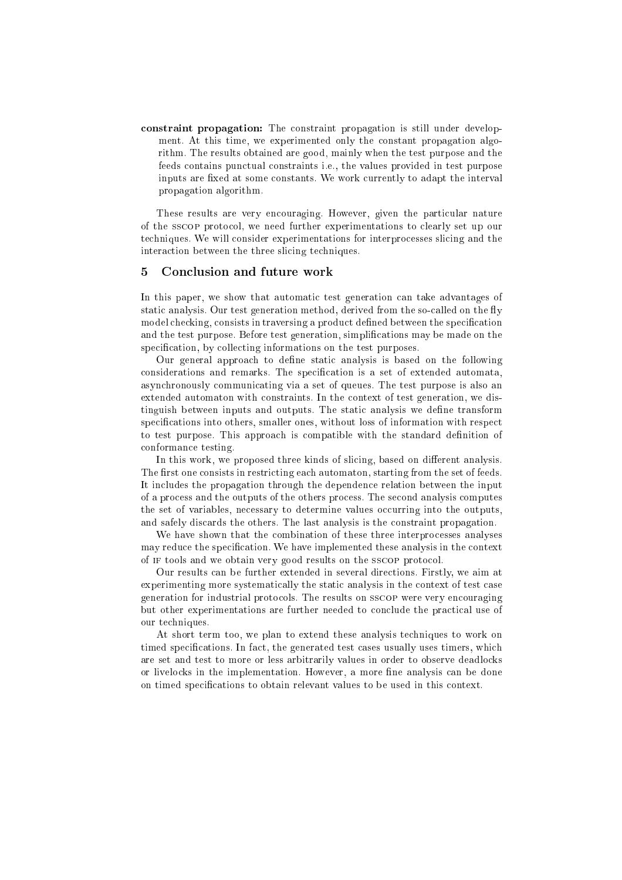constraint propagation: The constraint propagation is still under development. At this time, we experimented only the constant propagation algorithm. The results obtained are good, mainly when the test purpose and the feeds contains punctual constraints i.e., the values provided in test purpose inputs are fixed at some constants. We work currently to adapt the interval propagation algorithm.

These results are very encouraging. However, given the particular nature of the sscop protocol, we need further experimentations to clearly set up our techniques. We will consider experimentations for interprocesses slicing and the interaction between the three slicing techniques.

### $\overline{5}$ Conclusion and future work

In this paper, we show that automatic test generation can take advantages of static analysis. Our test generation method, derived from the so-called on the fly model checking, consists in traversing a product defined between the specification and the test purpose. Before test generation, simplications may be made on the specification, by collecting informations on the test purposes.

Our general approach to define static analysis is based on the following considerations and remarks. The specication is a set of extended automata, asynchronously communicating via a set of queues. The test purpose is also an extended automaton with constraints. In the context of test generation, we distinguish between inputs and outputs. The static analysis we define transform specifications into others, smaller ones, without loss of information with respect to test purpose. This approach is compatible with the standard definition of conformance testing.

In this work, we proposed three kinds of slicing, based on different analysis. The first one consists in restricting each automaton, starting from the set of feeds. It includes the propagation through the dependence relation between the input of a process and the outputs of the others process. The second analysis computes the set of variables, necessary to determine values occurring into the outputs, and safely discards the others. The last analysis is the constraint propagation.

We have shown that the combination of these three interprocesses analyses may reduce the specication. We have implemented these analysis in the context of if tools and we obtain very good results on the sscop protocol.

Our results can be further extended in several directions. Firstly, we aim at experimenting more systematically the static analysis in the context of test case generation for industrial protocols. The results on sscop were very encouraging but other experimentations are further needed to conclude the practical use of our techniques.

At short term too, we plan to extend these analysis techniques to work on timed specications. In fact, the generated test cases usually uses timers, which are set and test to more or less arbitrarily values in order to observe deadlocks or livelocks in the implementation. However, a more fine analysis can be done on timed specications to obtain relevant values to be used in this context.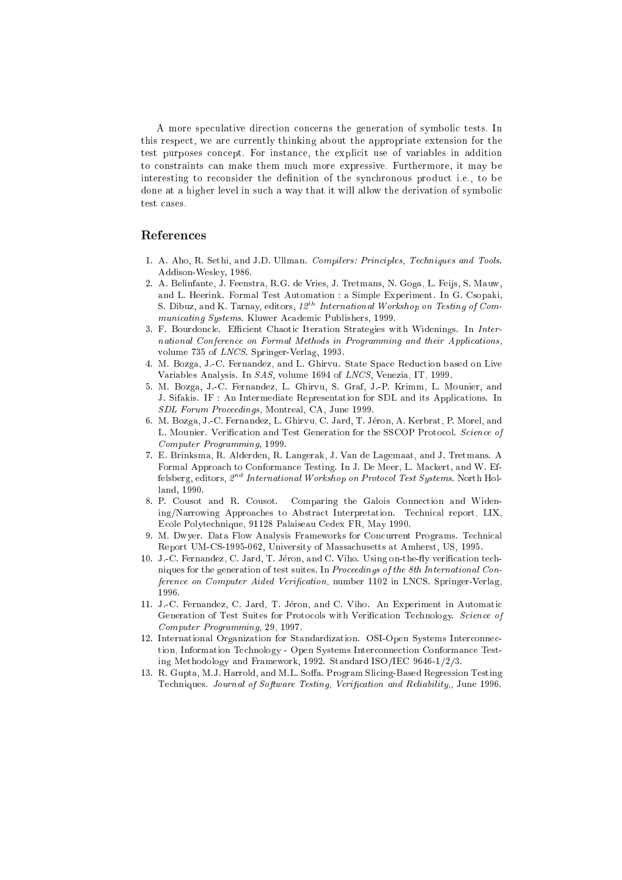A more speculative direction concerns the generation of symbolic tests. In this respect, we are currently thinking about the appropriate extension for the test purposes concept. For instance, the explicit use of variables in addition to constraints can make them much more expressive. Furthermore, it may be interesting to reconsider the definition of the synchronous product i.e., to be done at a higher level in such a way that it will allow the derivation of symbolic test cases.

- 1. A. Aho, R. Sethi, and J.D. Ullman. Compilers: Principles, Techniques and Tools. Addison-Wesley, 1986.
- 2. A. Belinfante, J. Feenstra, R.G. de Vries, J. Tretmans, N. Goga, L. Feijs, S. Mauw, and L. Heerink. Formal Test Automation : a Simple Experiment. In G. Csopaki, S. Dibuz, and K. Tarnay, editors,  $12^{th}$  International Workshop on Testing of Communicating Systems. Kluwer Academic Publishers, 1999.
- 3. F. Bourdoncle. Efficient Chaotic Iteration Strategies with Widenings. In International Conference on Formal Methods in Programming and their Applications, volume 735 of LNCS. Springer-Verlag, 1993.
- 4. M. Bozga, J.-C. Fernandez, and L. Ghirvu. State Space Reduction based on Live Variables Analysis. In SAS, volume 1694 of LNCS, Venezia, IT, 1999.
- 5. M. Bozga, J.-C. Fernandez, L. Ghirvu, S. Graf, J.-P. Krimm, L. Mounier, and J. Sifakis. IF : An Intermediate Representation for SDL and its Applications. In SDL Forum Proceedings, Montreal, CA, June 1999.
- 6. M. Bozga, J.-C. Fernandez, L. Ghirvu, C. Jard, T. Jeron, A. Kerbrat, P. Morel, and L. Mounier. Verification and Test Generation for the SSCOP Protocol. Science of Computer Programming, 1999.
- 7. E. Brinksma, R. Alderden, R. Langerak, J. Van de Lagemaat, and J. Tretmans. A Formal Approach to Conformance Testing. In J. De Meer, L. Mackert, and W. Efreisperg, editors,  $z^{--}$  International Workshop on Protocol Test Systems. North Holland, 1990.
- 8. P. Cousot and R. Cousot. Comparing the Galois Connection and Widening/Narrowing Approaches to Abstract Interpretation. Technical report, LIX, Ecole Polytechnique, 91128 Palaiseau Cedex FR, May 1990.
- 9. M. Dwyer. Data Flow Analysis Frameworks for Concurrent Programs. Technical Report UM-CS-1995-062, University of Massachusetts at Amherst, US, 1995.
- 10. J.-C. Fernandez, C. Jard, T. Jéron, and C. Viho. Using on-the-fly verification techniques for the generation of test suites. In Proceedings of the 8th International Conference on Computer Aided Verification, number 1102 in LNCS. Springer-Verlag, 1996.
- 11. J.-C. Fernandez, C. Jard, T. Jeron, and C. Viho. An Experiment in Automatic Generation of Test Suites for Protocols with Verification Technology. Science of Computer Programming, 29, 1997.
- 12. International Organization for Standardization. OSI-Open Systems Interconnection, Information Technology - Open Systems Interconnection Conformance Testing Methodology and Framework, 1992. Standard ISO/IEC 9646-1/2/3.
- 13. R. Gupta, M.J. Harrold, and M.L. Soffa. Program Slicing-Based Regression Testing Techniques. Journal of Software Testing, Verication and Reliability,, June 1996.